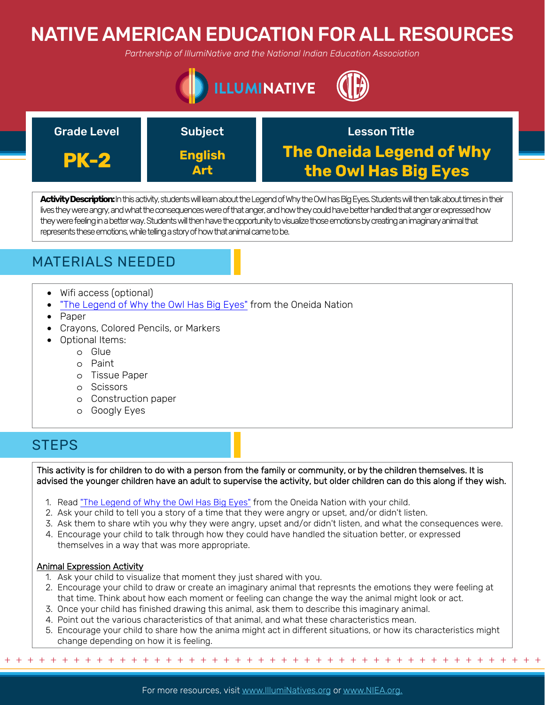# NATIVE AMERICAN EDUCATION FOR ALL RESOURCES

*Partnership of IllumiNative and the National Indian Education Association*





**Activity Description:**In this activity, students will learn about the Legend of Why the Owl has Big Eyes. Students will then talk about times in their lives they were angry, andwhat the consequences were of that anger, and how they could have better handled that anger or expressed how they were feeling in a betterway. Students will then have the opportunity to visualize those emotions by creating an imaginary animal that represents these emotions, while telling a story of how that animal came to be.

### MATERIALS NEEDED

- Wifi access (optional)
- ["The Legend of Why the Owl Has Big Eyes"](https://www.oneidaindiannation.com/the-legend-of-why-the-owl-has-big-eyes/) from the Oneida Nation
- Paper
- Crayons, Colored Pencils, or Markers
- Optional Items:
	- o Glue
	- o Paint
	- o Tissue Paper
	- o Scissors
	- o Construction paper
	- o Googly Eyes

### **STEPS**

This activity is for children to do with a person from the family or community, or by the children themselves. It is advised the younger children have an adult to supervise the activity, but older children can do this along if they wish.

- 1. Read ["The Legend of Why the Owl Has Big Eyes"](https://www.oneidaindiannation.com/the-legend-of-why-the-owl-has-big-eyes/) from the Oneida Nation with your child.
- 2. Ask your child to tell you a story of a time that they were angry or upset, and/or didn't listen.
- 3. Ask them to share wtih you why they were angry, upset and/or didn't listen, and what the consequences were.
- 4. Encourage your child to talk through how they could have handled the situation better, or expressed themselves in a way that was more appropriate.

### Animal Expression Activity

1. Ask your child to visualize that moment they just shared with you.

+ + + + + + + + + + + + + + + + + + + + + + + + + + + + + + + + + + + + + + + + + + + + + + + +

- 2. Encourage your child to draw or create an imaginary animal that represnts the emotions they were feeling at that time. Think about how each moment or feeling can change the way the animal might look or act.
- 3. Once your child has finished drawing this animal, ask them to describe this imaginary animal.
- 4. Point out the various characteristics of that animal, and what these characteristics mean.
- 5. Encourage your child to share how the anima might act in different situations, or how its characteristics might change depending on how it is feeling.